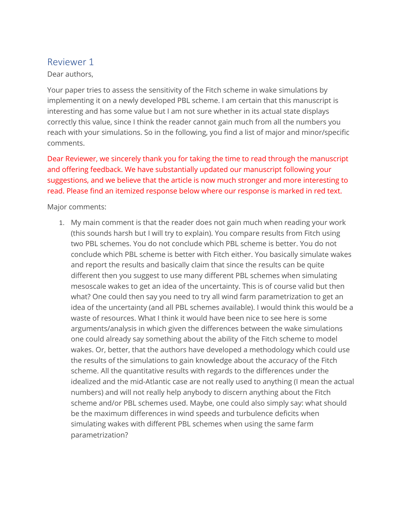# Reviewer 1

## Dear authors,

Your paper tries to assess the sensitivity of the Fitch scheme in wake simulations by implementing it on a newly developed PBL scheme. I am certain that this manuscript is interesting and has some value but I am not sure whether in its actual state displays correctly this value, since I think the reader cannot gain much from all the numbers you reach with your simulations. So in the following, you find a list of major and minor/specific comments.

Dear Reviewer, we sincerely thank you for taking the time to read through the manuscript and offering feedback. We have substantially updated our manuscript following your suggestions, and we believe that the article is now much stronger and more interesting to read. Please find an itemized response below where our response is marked in red text.

Major comments:

1. My main comment is that the reader does not gain much when reading your work (this sounds harsh but I will try to explain). You compare results from Fitch using two PBL schemes. You do not conclude which PBL scheme is better. You do not conclude which PBL scheme is better with Fitch either. You basically simulate wakes and report the results and basically claim that since the results can be quite different then you suggest to use many different PBL schemes when simulating mesoscale wakes to get an idea of the uncertainty. This is of course valid but then what? One could then say you need to try all wind farm parametrization to get an idea of the uncertainty (and all PBL schemes available). I would think this would be a waste of resources. What I think it would have been nice to see here is some arguments/analysis in which given the differences between the wake simulations one could already say something about the ability of the Fitch scheme to model wakes. Or, better, that the authors have developed a methodology which could use the results of the simulations to gain knowledge about the accuracy of the Fitch scheme. All the quantitative results with regards to the differences under the idealized and the mid-Atlantic case are not really used to anything (I mean the actual numbers) and will not really help anybody to discern anything about the Fitch scheme and/or PBL schemes used. Maybe, one could also simply say: what should be the maximum differences in wind speeds and turbulence deficits when simulating wakes with different PBL schemes when using the same farm parametrization?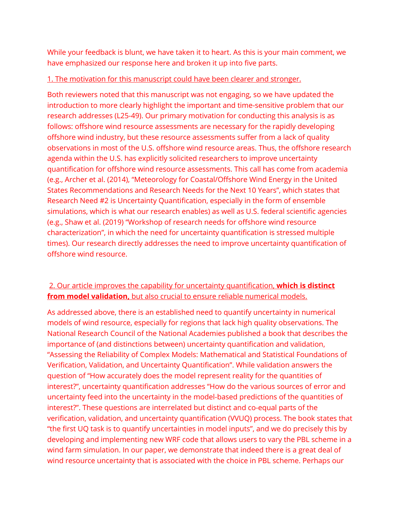While your feedback is blunt, we have taken it to heart. As this is your main comment, we have emphasized our response here and broken it up into five parts.

#### 1. The motivation for this manuscript could have been clearer and stronger.

Both reviewers noted that this manuscript was not engaging, so we have updated the introduction to more clearly highlight the important and time-sensitive problem that our research addresses (L25-49). Our primary motivation for conducting this analysis is as follows: offshore wind resource assessments are necessary for the rapidly developing offshore wind industry, but these resource assessments suffer from a lack of quality observations in most of the U.S. offshore wind resource areas. Thus, the offshore research agenda within the U.S. has explicitly solicited researchers to improve uncertainty quantification for offshore wind resource assessments. This call has come from academia (e.g., Archer et al. (2014), "Meteorology for Coastal/Offshore Wind Energy in the United States Recommendations and Research Needs for the Next 10 Years", which states that Research Need #2 is Uncertainty Quantification, especially in the form of ensemble simulations, which is what our research enables) as well as U.S. federal scientific agencies (e.g., Shaw et al. (2019) "Workshop of research needs for offshore wind resource characterization", in which the need for uncertainty quantification is stressed multiple times). Our research directly addresses the need to improve uncertainty quantification of offshore wind resource.

# 2. Our article improves the capability for uncertainty quantification, **which is distinct from model validation,** but also crucial to ensure reliable numerical models.

As addressed above, there is an established need to quantify uncertainty in numerical models of wind resource, especially for regions that lack high quality observations. The National Research Council of the National Academies published a book that describes the importance of (and distinctions between) uncertainty quantification and validation, "Assessing the Reliability of Complex Models: Mathematical and Statistical Foundations of Verification, Validation, and Uncertainty Quantification". While validation answers the question of "How accurately does the model represent reality for the quantities of interest?", uncertainty quantification addresses "How do the various sources of error and uncertainty feed into the uncertainty in the model-based predictions of the quantities of interest?". These questions are interrelated but distinct and co-equal parts of the verification, validation, and uncertainty quantification (VVUQ) process. The book states that "the first UQ task is to quantify uncertainties in model inputs", and we do precisely this by developing and implementing new WRF code that allows users to vary the PBL scheme in a wind farm simulation. In our paper, we demonstrate that indeed there is a great deal of wind resource uncertainty that is associated with the choice in PBL scheme. Perhaps our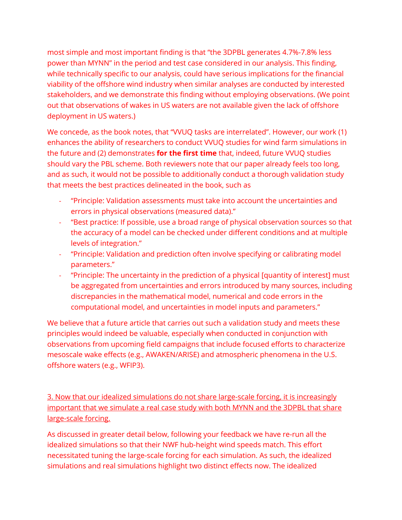most simple and most important finding is that "the 3DPBL generates 4.7%-7.8% less power than MYNN" in the period and test case considered in our analysis. This finding, while technically specific to our analysis, could have serious implications for the financial viability of the offshore wind industry when similar analyses are conducted by interested stakeholders, and we demonstrate this finding without employing observations. (We point out that observations of wakes in US waters are not available given the lack of offshore deployment in US waters.)

We concede, as the book notes, that "VVUQ tasks are interrelated". However, our work (1) enhances the ability of researchers to conduct VVUQ studies for wind farm simulations in the future and (2) demonstrates **for the first time** that, indeed, future VVUQ studies should vary the PBL scheme. Both reviewers note that our paper already feels too long, and as such, it would not be possible to additionally conduct a thorough validation study that meets the best practices delineated in the book, such as

- "Principle: Validation assessments must take into account the uncertainties and errors in physical observations (measured data)."
- "Best practice: If possible, use a broad range of physical observation sources so that the accuracy of a model can be checked under different conditions and at multiple levels of integration."
- "Principle: Validation and prediction often involve specifying or calibrating model parameters."
- "Principle: The uncertainty in the prediction of a physical [quantity of interest] must be aggregated from uncertainties and errors introduced by many sources, including discrepancies in the mathematical model, numerical and code errors in the computational model, and uncertainties in model inputs and parameters."

We believe that a future article that carries out such a validation study and meets these principles would indeed be valuable, especially when conducted in conjunction with observations from upcoming field campaigns that include focused efforts to characterize mesoscale wake effects (e.g., AWAKEN/ARISE) and atmospheric phenomena in the U.S. offshore waters (e.g., WFIP3).

3. Now that our idealized simulations do not share large-scale forcing, it is increasingly important that we simulate a real case study with both MYNN and the 3DPBL that share large-scale forcing.

As discussed in greater detail below, following your feedback we have re-run all the idealized simulations so that their NWF hub-height wind speeds match. This effort necessitated tuning the large-scale forcing for each simulation. As such, the idealized simulations and real simulations highlight two distinct effects now. The idealized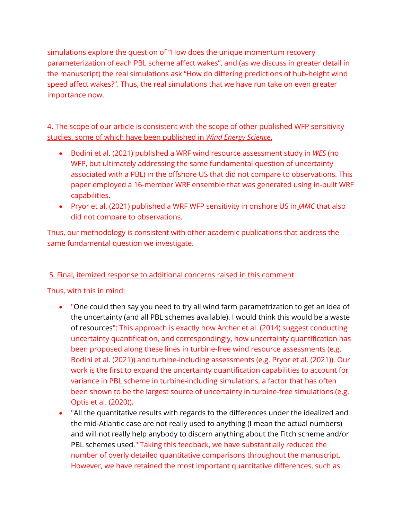simulations explore the question of "How does the unique momentum recovery parameterization of each PBL scheme affect wakes", and (as we discuss in greater detail in the manuscript) the real simulations ask "How do differing predictions of hub-height wind speed affect wakes?". Thus, the real simulations that we have run take on even greater importance now.

4. The scope of our article is consistent with the scope of other published WFP sensitivity studies, some of which have been published in *Wind Energy Science*.

- Bodini et al. (2021) published a WRF wind resource assessment study in *WES* (no WFP, but ultimately addressing the same fundamental question of uncertainty associated with a PBL) in the offshore US that did not compare to observations. This paper employed a 16-member WRF ensemble that was generated using in-built WRF capabilities.
- Pryor et al. (2021) published a WRF WFP sensitivity in onshore US in *JAMC* that also did not compare to observations.

Thus, our methodology is consistent with other academic publications that address the same fundamental question we investigate.

# 5. Final, itemized response to additional concerns raised in this comment

# Thus, with this in mind:

- "One could then say you need to try all wind farm parametrization to get an idea of the uncertainty (and all PBL schemes available). I would think this would be a waste of resources": This approach is exactly how Archer et al. (2014) suggest conducting uncertainty quantification, and correspondingly, how uncertainty quantification has been proposed along these lines in turbine-free wind resource assessments (e.g. Bodini et al. (2021)) and turbine-including assessments (e.g. Pryor et al. (2021)). Our work is the first to expand the uncertainty quantification capabilities to account for variance in PBL scheme in turbine-including simulations, a factor that has often been shown to be the largest source of uncertainty in turbine-free simulations (e.g. Optis et al. (2020)).
- "All the quantitative results with regards to the differences under the idealized and the mid-Atlantic case are not really used to anything (I mean the actual numbers) and will not really help anybody to discern anything about the Fitch scheme and/or PBL schemes used." Taking this feedback, we have substantially reduced the number of overly detailed quantitative comparisons throughout the manuscript. However, we have retained the most important quantitative differences, such as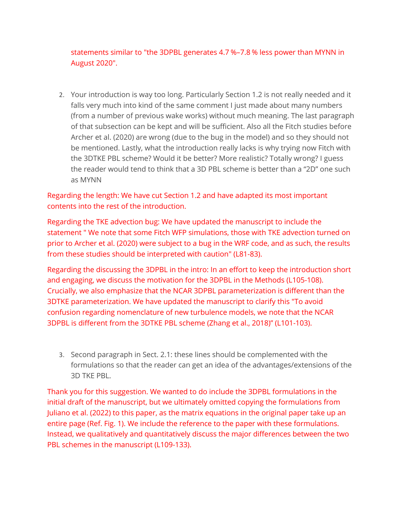statements similar to "the 3DPBL generates 4.7 %–7.8 % less power than MYNN in August 2020".

2. Your introduction is way too long. Particularly Section 1.2 is not really needed and it falls very much into kind of the same comment I just made about many numbers (from a number of previous wake works) without much meaning. The last paragraph of that subsection can be kept and will be sufficient. Also all the Fitch studies before Archer et al. (2020) are wrong (due to the bug in the model) and so they should not be mentioned. Lastly, what the introduction really lacks is why trying now Fitch with the 3DTKE PBL scheme? Would it be better? More realistic? Totally wrong? I guess the reader would tend to think that a 3D PBL scheme is better than a "2D" one such as MYNN

Regarding the length: We have cut Section 1.2 and have adapted its most important contents into the rest of the introduction.

Regarding the TKE advection bug: We have updated the manuscript to include the statement " We note that some Fitch WFP simulations, those with TKE advection turned on prior to Archer et al. (2020) were subject to a bug in the WRF code, and as such, the results from these studies should be interpreted with caution" (L81-83).

Regarding the discussing the 3DPBL in the intro: In an effort to keep the introduction short and engaging, we discuss the motivation for the 3DPBL in the Methods (L105-108). Crucially, we also emphasize that the NCAR 3DPBL parameterization is different than the 3DTKE parameterization. We have updated the manuscript to clarify this "To avoid confusion regarding nomenclature of new turbulence models, we note that the NCAR 3DPBL is different from the 3DTKE PBL scheme (Zhang et al., 2018)" (L101-103).

3. Second paragraph in Sect. 2.1: these lines should be complemented with the formulations so that the reader can get an idea of the advantages/extensions of the 3D TKE PBL.

Thank you for this suggestion. We wanted to do include the 3DPBL formulations in the initial draft of the manuscript, but we ultimately omitted copying the formulations from Juliano et al. (2022) to this paper, as the matrix equations in the original paper take up an entire page (Ref. Fig. 1). We include the reference to the paper with these formulations. Instead, we qualitatively and quantitatively discuss the major differences between the two PBL schemes in the manuscript (L109-133).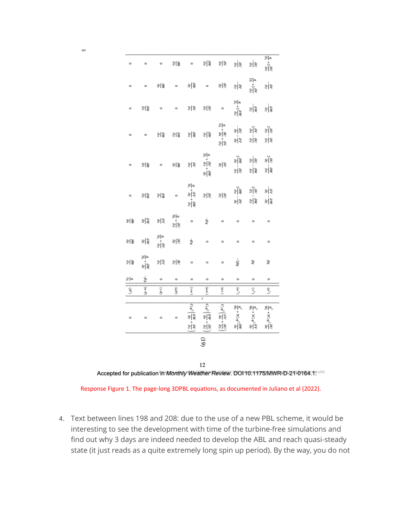| $\circ$                                                                 | ۰       | $\circ$                                       | ≌ ଞ                                       | $\circ$                                                                       |                                                                   | খ়ী≋ ≌ ≋                                                 | ⊭ ≋                                                                        | श्लेष्ट                                  | 읠<br>$-\frac{30}{a_x}$                                                                |
|-------------------------------------------------------------------------|---------|-----------------------------------------------|-------------------------------------------|-------------------------------------------------------------------------------|-------------------------------------------------------------------|----------------------------------------------------------|----------------------------------------------------------------------------|------------------------------------------|---------------------------------------------------------------------------------------|
| $\circ$                                                                 | $\circ$ | 高高                                            |                                           | 。 ა∥\$ 。                                                                      |                                                                   | al a                                                     | ङ∣ङ                                                                        | 시설<br>$\frac{\partial V}{\partial \rho}$ | ⊯ ङ्                                                                                  |
| $\circ$                                                                 |         | $\frac{26}{15}$                               | $\circ$                                   | $\frac{\partial \theta}{\partial t}$ $\frac{\partial \theta}{\partial t}$     |                                                                   | $\circ$                                                  | $\frac{q}{2l_1}+2\frac{\partial W}{\partial z}$                            | $\frac{36}{16}$                          | 원                                                                                     |
| ۰                                                                       | $\circ$ |                                               | ଆଞ୍ଚ ଆଞ୍ଚ ଅଞ୍ଚ                            |                                                                               | ङ∣ङ                                                               | 익<br>्<br>श्री<br>्रमे<br>जन्                            | श्री<br>शि<br>ङ्कांड                                                       | $\frac{\partial V}{\partial x}$<br>ફ્ર∣ફ | ्<br>शुरु<br>ak<br>dx                                                                 |
| ۰                                                                       | ≋∣⊛     | $\circ$                                       | 8 第                                       | av<br>Va                                                                      | 쇠복<br>$+\frac{\partial U}{\partial x}$<br>्<br>भौड़               | 別名                                                       | z <mark>êw</mark><br>$\frac{9}{9z}$                                        | ≋∥<br>क                                  | $\frac{\partial \tilde{u}}{\partial t} = \frac{\partial \tilde{u}}{\partial t}$<br>일종 |
| ۰                                                                       | ଞାଝ ଝାଞ |                                               | $\circ$                                   | 씨<br>्रां<br>श्र<br>$\frac{\partial W}{\partial z}$                           | چ∣چ                                                               | $\frac{\partial U}{\partial z}$                          | र<br>अक्ष<br>ं<br>श्री                                                     | ्<br>श्र<br>ङ∣ङ                          | श्रं≹<br>星影                                                                           |
| 劉告                                                                      | ≋∥≋     | av<br>da                                      | 이兴<br>्र<br>भू                            | $\circ$                                                                       | ₽g                                                                | $\circ$                                                  | $\circ$                                                                    | $\circ$                                  | ۰                                                                                     |
| E) 3                                                                    | आह      | $\frac{q}{M_2}+\frac{\partial V}{\partial y}$ | क्षेष्ठ                                   | ₽q                                                                            | $\circ$                                                           | $\circ$                                                  | $\circ$                                                                    | $\circ$                                  | ۰                                                                                     |
| 11동                                                                     | 이동<br>부 | $\frac{\partial V}{\partial z}$               | $\mathscr{G} _{\mathscr{C}_{\mathbf{X}}}$ | $\circ$                                                                       | $\circ$                                                           | $\circ$                                                  | $-2\beta$ g                                                                | Bg                                       | Bg                                                                                    |
| 이징                                                                      | $-98$   | ۰                                             | $\circ$                                   | $\circ$                                                                       | $\circ$                                                           | $\circ$                                                  | ۰                                                                          | $\circ$                                  | ٥                                                                                     |
| $\left\{ \left\  \left\langle \theta^2 \right\rangle \right\  \right\}$ | इ<br>3  | (B 4)                                         | (an)                                      | $\langle$ un $\rangle$                                                        | $ \langle m n \rangle $                                           | $\langle n n \rangle$                                    | $\langle w^2\rangle$                                                       | $\langle v^2 \rangle$                    | (پن                                                                                   |
|                                                                         |         |                                               |                                           |                                                                               | ı.                                                                |                                                          |                                                                            |                                          |                                                                                       |
| ۰                                                                       | $\circ$ | $\circ$                                       | $\circ$                                   | $\frac{d}{d\theta} + \frac{d\theta}{d\theta} + \frac{\partial V}{\partial z}$ | $c_1q^2\left(\frac{\partial W}{\partial x}\right)$<br>.∔<br>ક∥ક્ર | $c_1 q' \frac{\partial V}{\partial x}.$<br>$\frac{1}{2}$ | $\left  \frac{q^3}{6i_1} + 3C_1 q^2 \frac{\partial W}{\partial c} \right $ | $\frac{d^3}{6i_1}+3C_1q^{2.5}$<br>ঙ∣ৼ    | 이오<br>$+3C_1q^{2}$ :<br>श्रंहि                                                        |
| $\widetilde{5}$                                                         |         |                                               |                                           |                                                                               |                                                                   |                                                          |                                                                            |                                          |                                                                                       |
|                                                                         |         |                                               |                                           |                                                                               | 12                                                                |                                                          |                                                                            |                                          |                                                                                       |

 $222$ 

Accepted for publication in Monthly Weather Review. DOI 10.1175/MWR-D-21-0164.7" UTC

Response Figure 1. The page-long 3DPBL equations, as documented in Juliano et al (2022).

4. Text between lines 198 and 208: due to the use of a new PBL scheme, it would be interesting to see the development with time of the turbine-free simulations and find out why 3 days are indeed needed to develop the ABL and reach quasi-steady state (it just reads as a quite extremely long spin up period). By the way, you do not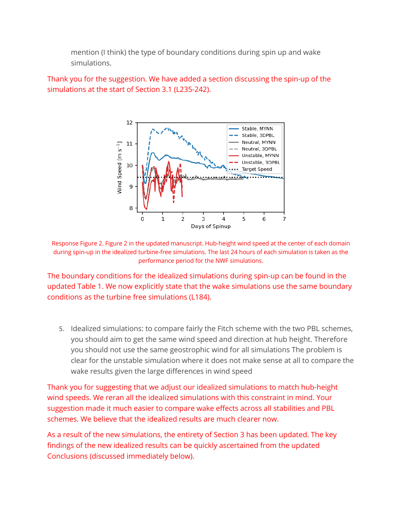mention (I think) the type of boundary conditions during spin up and wake simulations.

Thank you for the suggestion. We have added a section discussing the spin-up of the simulations at the start of Section 3.1 (L235-242).



Response Figure 2. Figure 2 in the updated manuscript. Hub-height wind speed at the center of each domain during spin-up in the idealized turbine-free simulations. The last 24 hours of each simulation is taken as the performance period for the NWF simulations.

The boundary conditions for the idealized simulations during spin-up can be found in the updated Table 1. We now explicitly state that the wake simulations use the same boundary conditions as the turbine free simulations (L184).

5. Idealized simulations: to compare fairly the Fitch scheme with the two PBL schemes, you should aim to get the same wind speed and direction at hub height. Therefore you should not use the same geostrophic wind for all simulations The problem is clear for the unstable simulation where it does not make sense at all to compare the wake results given the large differences in wind speed

Thank you for suggesting that we adjust our idealized simulations to match hub-height wind speeds. We reran all the idealized simulations with this constraint in mind. Your suggestion made it much easier to compare wake effects across all stabilities and PBL schemes. We believe that the idealized results are much clearer now.

As a result of the new simulations, the entirety of Section 3 has been updated. The key findings of the new idealized results can be quickly ascertained from the updated Conclusions (discussed immediately below).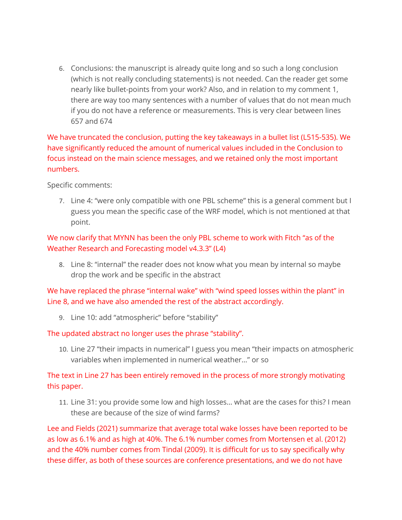6. Conclusions: the manuscript is already quite long and so such a long conclusion (which is not really concluding statements) is not needed. Can the reader get some nearly like bullet-points from your work? Also, and in relation to my comment 1, there are way too many sentences with a number of values that do not mean much if you do not have a reference or measurements. This is very clear between lines 657 and 674

We have truncated the conclusion, putting the key takeaways in a bullet list (L515-535). We have significantly reduced the amount of numerical values included in the Conclusion to focus instead on the main science messages, and we retained only the most important numbers.

Specific comments:

7. Line 4: "were only compatible with one PBL scheme" this is a general comment but I guess you mean the specific case of the WRF model, which is not mentioned at that point.

# We now clarify that MYNN has been the only PBL scheme to work with Fitch "as of the Weather Research and Forecasting model v4.3.3" (L4)

8. Line 8: "internal" the reader does not know what you mean by internal so maybe drop the work and be specific in the abstract

We have replaced the phrase "internal wake" with "wind speed losses within the plant" in Line 8, and we have also amended the rest of the abstract accordingly.

9. Line 10: add "atmospheric" before "stability"

### The updated abstract no longer uses the phrase "stability".

10. Line 27 "their impacts in numerical" I guess you mean "their impacts on atmospheric variables when implemented in numerical weather…" or so

The text in Line 27 has been entirely removed in the process of more strongly motivating this paper.

11. Line 31: you provide some low and high losses… what are the cases for this? I mean these are because of the size of wind farms?

Lee and Fields (2021) summarize that average total wake losses have been reported to be as low as 6.1% and as high at 40%. The 6.1% number comes from Mortensen et al. (2012) and the 40% number comes from Tindal (2009). It is difficult for us to say specifically why these differ, as both of these sources are conference presentations, and we do not have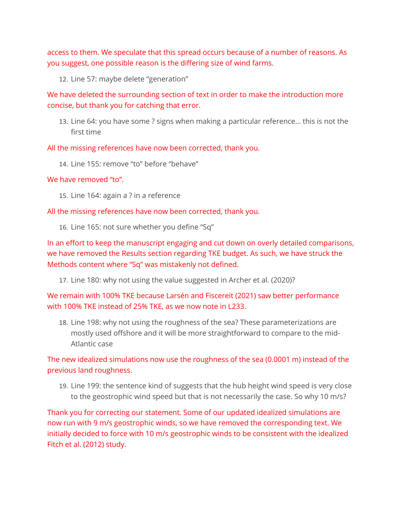access to them. We speculate that this spread occurs because of a number of reasons. As you suggest, one possible reason is the differing size of wind farms.

12. Line 57: maybe delete "generation"

We have deleted the surrounding section of text in order to make the introduction more concise, but thank you for catching that error.

13. Line 64: you have some ? signs when making a particular reference… this is not the first time

All the missing references have now been corrected, thank you.

14. Line 155: remove "to" before "behave"

#### We have removed "to".

15. Line 164: again a ? in a reference

All the missing references have now been corrected, thank you.

16. Line 165: not sure whether you define "Sq"

In an effort to keep the manuscript engaging and cut down on overly detailed comparisons, we have removed the Results section regarding TKE budget. As such, we have struck the Methods content where "Sq" was mistakenly not defined.

17. Line 180: why not using the value suggested in Archer et al. (2020)?

We remain with 100% TKE because Larsén and Fiscereit (2021) saw better performance with 100% TKE instead of 25% TKE, as we now note in L233.

18. Line 198: why not using the roughness of the sea? These parameterizations are mostly used offshore and it will be more straightforward to compare to the mid-Atlantic case

The new idealized simulations now use the roughness of the sea (0.0001 m) instead of the previous land roughness.

19. Line 199: the sentence kind of suggests that the hub height wind speed is very close to the geostrophic wind speed but that is not necessarily the case. So why 10 m/s?

Thank you for correcting our statement. Some of our updated idealized simulations are now run with 9 m/s geostrophic winds, so we have removed the corresponding text. We initially decided to force with 10 m/s geostrophic winds to be consistent with the idealized Fitch et al. (2012) study.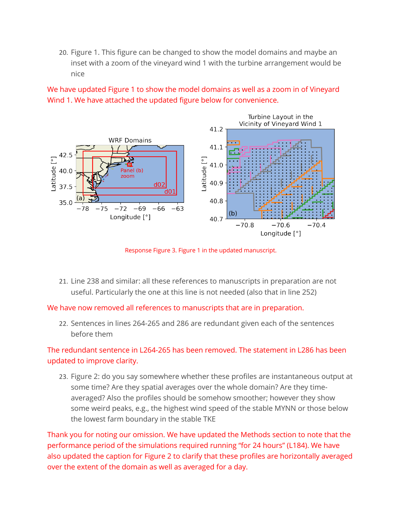20. Figure 1. This figure can be changed to show the model domains and maybe an inset with a zoom of the vineyard wind 1 with the turbine arrangement would be nice

We have updated Figure 1 to show the model domains as well as a zoom in of Vineyard Wind 1. We have attached the updated figure below for convenience.



Response Figure 3. Figure 1 in the updated manuscript.

21. Line 238 and similar: all these references to manuscripts in preparation are not useful. Particularly the one at this line is not needed (also that in line 252)

We have now removed all references to manuscripts that are in preparation.

22. Sentences in lines 264-265 and 286 are redundant given each of the sentences before them

The redundant sentence in L264-265 has been removed. The statement in L286 has been updated to improve clarity.

23. Figure 2: do you say somewhere whether these profiles are instantaneous output at some time? Are they spatial averages over the whole domain? Are they timeaveraged? Also the profiles should be somehow smoother; however they show some weird peaks, e.g., the highest wind speed of the stable MYNN or those below the lowest farm boundary in the stable TKE

Thank you for noting our omission. We have updated the Methods section to note that the performance period of the simulations required running "for 24 hours" (L184). We have also updated the caption for Figure 2 to clarify that these profiles are horizontally averaged over the extent of the domain as well as averaged for a day.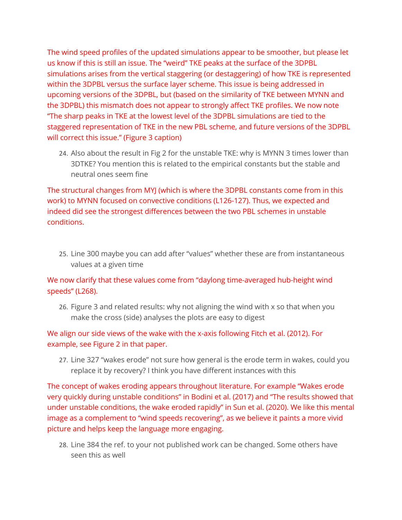The wind speed profiles of the updated simulations appear to be smoother, but please let us know if this is still an issue. The "weird" TKE peaks at the surface of the 3DPBL simulations arises from the vertical staggering (or destaggering) of how TKE is represented within the 3DPBL versus the surface layer scheme. This issue is being addressed in upcoming versions of the 3DPBL, but (based on the similarity of TKE between MYNN and the 3DPBL) this mismatch does not appear to strongly affect TKE profiles. We now note "The sharp peaks in TKE at the lowest level of the 3DPBL simulations are tied to the staggered representation of TKE in the new PBL scheme, and future versions of the 3DPBL will correct this issue." (Figure 3 caption)

24. Also about the result in Fig 2 for the unstable TKE: why is MYNN 3 times lower than 3DTKE? You mention this is related to the empirical constants but the stable and neutral ones seem fine

The structural changes from MYJ (which is where the 3DPBL constants come from in this work) to MYNN focused on convective conditions (L126-127). Thus, we expected and indeed did see the strongest differences between the two PBL schemes in unstable conditions.

25. Line 300 maybe you can add after "values" whether these are from instantaneous values at a given time

We now clarify that these values come from "daylong time-averaged hub-height wind speeds" (L268).

26. Figure 3 and related results: why not aligning the wind with x so that when you make the cross (side) analyses the plots are easy to digest

# We align our side views of the wake with the x-axis following Fitch et al. (2012). For example, see Figure 2 in that paper.

27. Line 327 "wakes erode" not sure how general is the erode term in wakes, could you replace it by recovery? I think you have different instances with this

The concept of wakes eroding appears throughout literature. For example "Wakes erode very quickly during unstable conditions" in Bodini et al. (2017) and "The results showed that under unstable conditions, the wake eroded rapidly" in Sun et al. (2020). We like this mental image as a complement to "wind speeds recovering", as we believe it paints a more vivid picture and helps keep the language more engaging.

28. Line 384 the ref. to your not published work can be changed. Some others have seen this as well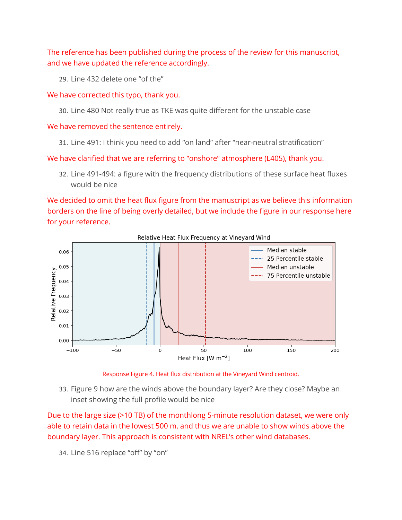The reference has been published during the process of the review for this manuscript, and we have updated the reference accordingly.

29. Line 432 delete one "of the"

We have corrected this typo, thank you.

30. Line 480 Not really true as TKE was quite different for the unstable case

We have removed the sentence entirely.

31. Line 491: I think you need to add "on land" after "near-neutral stratification"

We have clarified that we are referring to "onshore" atmosphere (L405), thank you.

32. Line 491-494: a figure with the frequency distributions of these surface heat fluxes would be nice

We decided to omit the heat flux figure from the manuscript as we believe this information borders on the line of being overly detailed, but we include the figure in our response here for your reference.



Relative Heat Flux Frequency at Vineyard Wind

Response Figure 4. Heat flux distribution at the Vineyard Wind centroid.

33. Figure 9 how are the winds above the boundary layer? Are they close? Maybe an inset showing the full profile would be nice

Due to the large size (>10 TB) of the monthlong 5-minute resolution dataset, we were only able to retain data in the lowest 500 m, and thus we are unable to show winds above the boundary layer. This approach is consistent with NREL's other wind databases.

34. Line 516 replace "off" by "on"